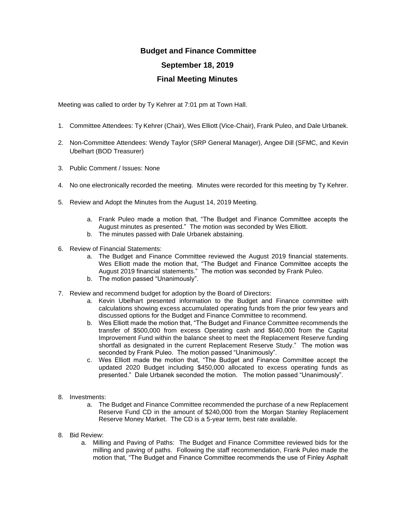## **Budget and Finance Committee September 18, 2019 Final Meeting Minutes**

Meeting was called to order by Ty Kehrer at 7:01 pm at Town Hall.

- 1. Committee Attendees: Ty Kehrer (Chair), Wes Elliott (Vice-Chair), Frank Puleo, and Dale Urbanek.
- 2. Non-Committee Attendees: Wendy Taylor (SRP General Manager), Angee Dill (SFMC, and Kevin Ubelhart (BOD Treasurer)
- 3. Public Comment / Issues: None
- 4. No one electronically recorded the meeting. Minutes were recorded for this meeting by Ty Kehrer.
- 5. Review and Adopt the Minutes from the August 14, 2019 Meeting.
	- a. Frank Puleo made a motion that, "The Budget and Finance Committee accepts the August minutes as presented." The motion was seconded by Wes Elliott.
	- b. The minutes passed with Dale Urbanek abstaining.
- 6. Review of Financial Statements:
	- a. The Budget and Finance Committee reviewed the August 2019 financial statements. Wes Elliott made the motion that, "The Budget and Finance Committee accepts the August 2019 financial statements." The motion was seconded by Frank Puleo.
	- b. The motion passed "Unanimously".
- 7. Review and recommend budget for adoption by the Board of Directors:
	- a. Kevin Ubelhart presented information to the Budget and Finance committee with calculations showing excess accumulated operating funds from the prior few years and discussed options for the Budget and Finance Committee to recommend.
	- b. Wes Elliott made the motion that, "The Budget and Finance Committee recommends the transfer of \$500,000 from excess Operating cash and \$640,000 from the Capital Improvement Fund within the balance sheet to meet the Replacement Reserve funding shortfall as designated in the current Replacement Reserve Study." The motion was seconded by Frank Puleo. The motion passed "Unanimously".
	- c. Wes Elliott made the motion that, "The Budget and Finance Committee accept the updated 2020 Budget including \$450,000 allocated to excess operating funds as presented." Dale Urbanek seconded the motion. The motion passed "Unanimously".
- 8. Investments:
	- a. The Budget and Finance Committee recommended the purchase of a new Replacement Reserve Fund CD in the amount of \$240,000 from the Morgan Stanley Replacement Reserve Money Market. The CD is a 5-year term, best rate available.
- 8. Bid Review:
	- a. Milling and Paving of Paths: The Budget and Finance Committee reviewed bids for the milling and paving of paths. Following the staff recommendation, Frank Puleo made the motion that, "The Budget and Finance Committee recommends the use of Finley Asphalt